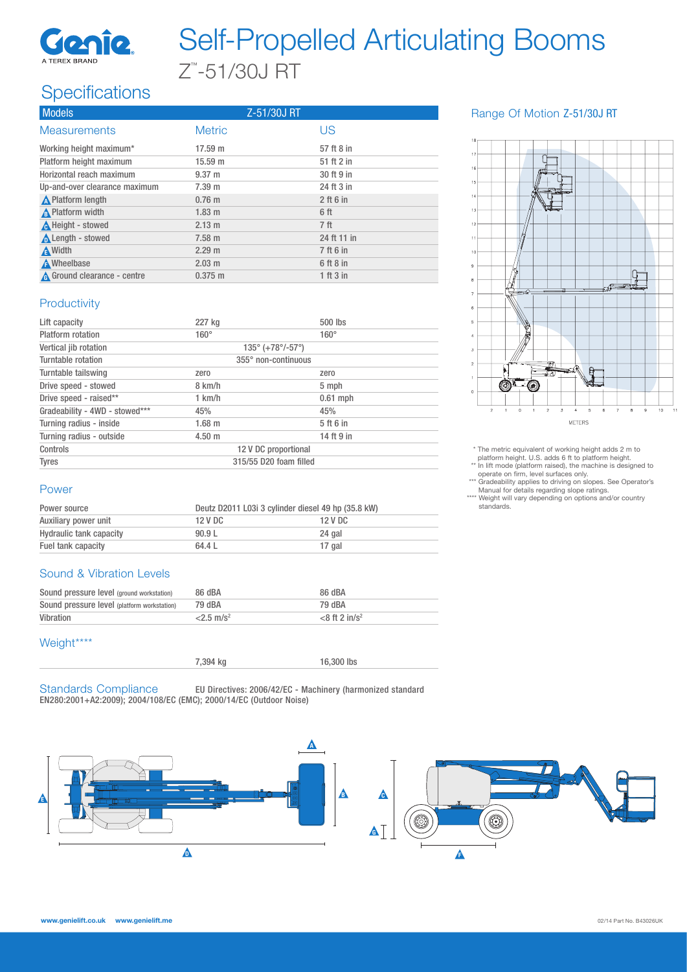

# Self-Propelled Articulating Booms Z™ -51/30J RT

## **Specifications**

| <b>Models</b>                 | Z-51/30J RT      |                 |
|-------------------------------|------------------|-----------------|
| <b>Measurements</b>           | <b>Metric</b>    | US              |
| Working height maximum*       | 17.59 m          | 57 ft 8 in      |
| Platform height maximum       | 15.59 m          | 51 ft 2 in      |
| Horizontal reach maximum      | $9.37 \text{ m}$ | 30 ft 9 in      |
| Up-and-over clearance maximum | 7.39 m           | 24 ft 3 in      |
| <b>A</b> Platform length      | $0.76$ m         | $2$ ft 6 in     |
| A Platform width              | $1.83 \text{ m}$ | 6 ft            |
| A Height - stowed             | $2.13 \text{ m}$ | 7 <sub>ft</sub> |
| <b>A</b> Length - stowed      | $7.58 \text{ m}$ | 24 ft 11 in     |
| <b>A</b> Width                | 2.29 m           | 7 ft 6 in       |
| <b>A</b> Wheelbase            | $2.03$ m         | 6 ft 8 in       |
| A Ground clearance - centre   | $0.375 \; m$     | 1 ft 3 in       |

#### Range Of Motion Z-51/30J RT



\* The metric equivalent of working height adds 2 m to platform height. U.S. adds 6 ft to platform height. \*\* In lift mode (platform raised), the machine is designed to operate on firm, level surfaces only.

\*\*\* Gradeability applies to driving on slopes. See Operator's Manual for details regarding slope ratings. \*\*\*\* Weight will vary depending on options and/or country

standards.

#### **Productivity**

| Lift capacity                  | 227 kg                 | 500 lbs                                         |  |  |
|--------------------------------|------------------------|-------------------------------------------------|--|--|
| Platform rotation              | $160^\circ$            | $160^\circ$                                     |  |  |
| Vertical jib rotation          |                        | $135^{\circ}$ (+78 $^{\circ}$ /-57 $^{\circ}$ ) |  |  |
| Turntable rotation             |                        | 355° non-continuous                             |  |  |
| Turntable tailswing            | zero                   | zero                                            |  |  |
| Drive speed - stowed           | 8 km/h                 | 5 mph                                           |  |  |
| Drive speed - raised**         | 1 km/h                 | $0.61$ mph                                      |  |  |
| Gradeability - 4WD - stowed*** | 45%                    | 45%                                             |  |  |
| Turning radius - inside        | 1.68 m                 | 5 ft 6 in                                       |  |  |
| Turning radius - outside       | $4.50 \;{\rm m}$       | 14 ft 9 in                                      |  |  |
| Controls                       |                        | 12 V DC proportional                            |  |  |
| <b>Tyres</b>                   | 315/55 D20 foam filled |                                                 |  |  |

#### Power

| Power source                   | Deutz D2011 L03i 3 cylinder diesel 49 hp (35.8 kW) |         |
|--------------------------------|----------------------------------------------------|---------|
| Auxiliary power unit           | 12 V DC                                            | 12 V DC |
| <b>Hydraulic tank capacity</b> | 90.9L                                              | 24 gal  |
| Fuel tank capacity             | 64.4 L                                             | 17 gal  |

#### Sound & Vibration Levels

| Sound pressure level (ground workstation)   | 86 dBA              | 86 dBA                       |
|---------------------------------------------|---------------------|------------------------------|
| Sound pressure level (platform workstation) | 79 dBA              | 79 dBA                       |
| Vibration                                   | $2.5 \text{ m/s}^2$ | $<$ 8 ft 2 in/s <sup>2</sup> |

#### Weight\*\*\*\*

| 7,394 kg | 16,300 lbs |
|----------|------------|
|          |            |

Standards Compliance EU Directives: 2006/42/EC - Machinery (harmonized standard EN280:2001+A2:2009); 2004/108/EC (EMC); 2000/14/EC (Outdoor Noise)